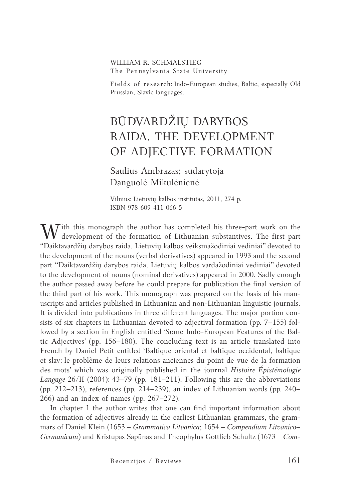### William R. Schmalstieg The Pennsylvania State University

Fields of research: Indo-European studies, Baltic, especially Old Prussian, Slavic languages.

# BŪDVARDŽIŲ DARYBOS RAIDA. THE DEVELOPMENT OF ADJECTIVE FORMATION

Saulius Ambrazas; sudarytoja Danguolė Mikulėnienė

Vilnius: Lietuvių kalbos institutas, 2011, 274 p. ISBN 978-609-411-066-5

W ith this monograph the author has completed his three-part work on the development of the formation of Lithuanian substantives. The first part "Daiktavardžių darybos raida. Lietuvių kalbos veiksmažodiniai vediniai" devoted to the development of the nouns (verbal derivatives) appeared in 1993 and the second part "Daiktavardžių darybos raida. Lietuvių kalbos vardažodiniai vediniai" devoted to the development of nouns (nominal derivatives) appeared in 2000. Sadly enough the author passed away before he could prepare for publication the final version of the third part of his work. This monograph was prepared on the basis of his manuscripts and articles published in Lithuanian and non-Lithuanian linguistic journals. It is divided into publications in three different languages. The major portion consists of six chapters in Lithuanian devoted to adjectival formation (pp. 7–155) followed by a section in English entitled 'Some Indo-European Features of the Baltic Adjectives' (pp. 156–180). The concluding text is an article translated into French by Daniel Petit entitled 'Baltique oriental et baltique occidental, baltique et slav: le problème de leurs relations anciennes du point de vue de la formation des mots' which was originally published in the journal *Histoire Épistémologie Langage* 26/II (2004): 43–79 (pp. 181–211). Following this are the abbreviations (pp. 212–213), references (pp. 214–239), an index of Lithuanian words (pp. 240– 266) and an index of names (pp. 267–272).

In chapter 1 the author writes that one can find important information about the formation of adjectives already in the earliest Lithuanian grammars, the grammars of Daniel Klein (1653 – *Grammatica Litvanica*; 1654 – *Compendium Litvanico– Germanicum*) and Kristupas Sapūnas and Theophylus Gottlieb Schultz (1673 – *Com-*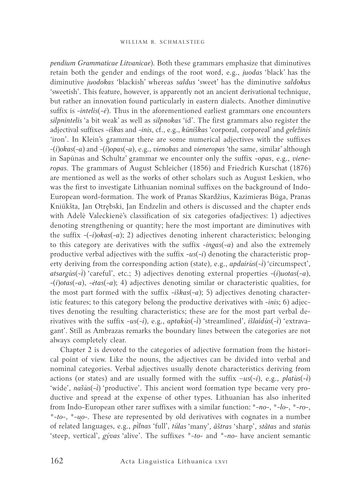*pendium Grammaticae Litvanicae*). Both these grammars emphasize that diminutives retain both the gender and endings of the root word, e.g., *juodas* 'black' has the diminutive *juodokas* 'blackish' whereas *saldus* 'sweet' has the diminutive *saldokus*  'sweetish'. This feature, however, is apparently not an ancient derivational technique, but rather an innovation found particularly in eastern dialects. Another diminutive suffix is -*intelis*(*-ė*). Thus in the aforementioned earliest grammars one encounters *silpnintelis* 'a bit weak' as well as *silpnokas* 'id'. The first grammars also register the adjectival suffixes -*iškas* and -*inis*, cf., e.g., *kūniškas* 'corporal, corporeal' and *geležinis '*iron'. In Klein's grammar there are some numerical adjectives with the suffixes -(*i*)*okas*(*-a*) and -(*i*)*opas*(*-a*), e.g., *vienokas* and *vieneropas* 'the same, similar' although in Sapūnas and Schultz' grammar we encounter only the suffix -*opas*, e.g., *vieneropas.* The grammars of August Schleicher (1856) and Friedrich Kurschat (1876) are mentioned as well as the works of other scholars such as August Leskien, who was the first to investigate Lithuanian nominal suffixes on the background of Indo-European word-formation. The work of Pranas Skardžius, Kazimieras Būga, Pranas Kniūkšta, Jan Otrębski, Jan Endzelin and others is discussed and the chapter ends with Adelė Valeckienė's classification of six categories ofadjectives: 1) adjectives denoting strengthening or quantity; here the most important are diminutives with the suffix -(-*i*)*okas*(*-a*); 2) adjectives denoting inherent characteristics; belonging to this category are derivatives with the suffix -*ingas*(*-a*) and also the extremely productive verbal adjectives with the suffix -*us*(*-i*) denoting the characteristic property deriving from the corresponding action (state), e.g., *apdairùs*(*-i*) 'circumspect', *atsargùs*(*-*) 'careful', etc.; 3) adjectives denoting external properties -(*i*)*uotas*(*-a*), -(*i*)*otas*(*-a*), -*ėtas*(*-a*); 4) adjectives denoting similar or characteristic qualities, for the most part formed with the suffix -*iškas*(*-a*); 5) adjectives denoting characteristic features; to this category belong the productive derivatives with -*inis*; 6) adjectives denoting the resulting characteristics; these are for the most part verbal derivatives with the suffix -us(-i), e.g., *aptakùs*(-i) 'streamlined', *išlaidùs*(-i) 'extravagant*'.* Still as Ambrazas remarks the boundary lines between the categories are not always completely clear.

Chapter 2 is devoted to the categories of adjective formation from the historical point of view. Like the nouns, the adjectives can be divided into verbal and nominal categories. Verbal adjectives usually denote characteristics deriving from actions (or states) and are usually formed with the suffix  $-us(-i)$ , e.g., *platus* $(-i)$ 'wide', *našùs*(-*i*) 'productive'. This ancient word formation type became very productive and spread at the expense of other types. Lithuanian has also inherited from Indo-European other rarer suffixes with a similar function: *\*-no-*, *\*-lo-*, *\*-ro-*, *\*-to-*, *\*-u̯o-.* These are represented by old derivatives with cognates in a number of related languages, e.g., *plnas* 'full', *tū́ las* 'many', *ãštras* 'sharp', *stãtas* and *statùs* 'steep, vertical', *gývas* 'alive'. The suffixes \*-*to-* and \*-*no-* have ancient semantic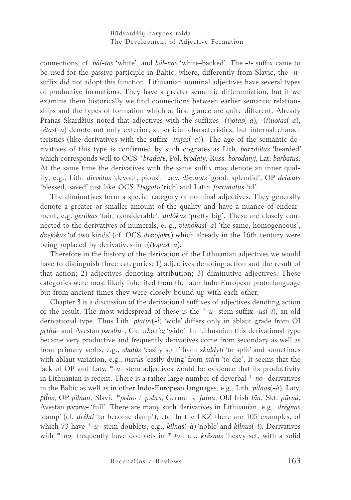Būdvardžių darybos raida The Development of Adjective Formation

connections, cf. *bál-tas* 'white', and *bál-nas* 'white-backed'. The -*t-* suffix came to be used for the passive participle in Baltic, where, differently from Slavic, the -*n*suffix did not adopt this function. Lithuanian nominal adjectives have several types of productive formations. They have a greater semantic differentiation, but if we examine them historically we find connections between earlier semantic relationships and the types of formation which at first glance are quite different. Already Pranas Skardžius noted that adjectives with the suffixes -(*i*)*otas*(*-a*), -(*i*)*uotas*(*-a*), -*ėtas*(*-a*) denote not only exterior, superficial characteristics, but internal characteristics (like derivatives with the suffix -*ingas*(*-a*))*.* The age of the semantic derivatives of this type is confirmed by such cognates as Lith. *barzdótas* 'bearded' which corresponds well to OCS \**bradatъ*, Pol. *brodaty*, Russ. *borodatyj*, Lat. *barbātus*. At the same time the derivatives with the same suffix may denote an inner quality, e.g., Lith. *dievótas* 'devout, pious', Latv. *dievuots* 'good, splendid', OP *deiwuts* 'blessed, saved' just like OCS \**bogatъ '*rich' and Latin *fortūnātus* 'id'.

The diminutives form a special category of nominal adjectives. They generally denote a greater or smaller amount of the quality and have a nuance of endearment, e.g. *gerókas* 'fair, considerable', *didókas* 'pretty big'. These are closely connected to the derivatives of numerals, e. g., *vienókas*(*-a*) 'the same, homogeneous', *dvejókas '*of two kinds' (cf. OCS *dъvojakъ*) which already in the 16th century were being replaced by derivatives in -(*i*)*opas*(*-a*)*.*

Therefore in the history of the derivation of the Lithuanian adjectives we would have to distinguish three categories: 1) adjectives denoting action and the result of that action; 2) adjectives denoting attribution; 3) diminutive adjectives. These categories were most likely inherited from the later Indo-European proto-language but from ancient times they were closely bound up with each other.

Chapter 3 is a discussion of the derivational suffixes of adjectives denoting action or the result. The most widespread of these is the \*-*u-* stem suffix -*us*(*-i*), an old derivational type. Thus Lith. *platùs*(*-*) 'wide' differs only in ablaut grade from OI *pr̥thú-* and Avestan *pərəθu-*, Gk. πλατύς 'wide'. In Lithuanian this derivational type became very productive and frequently derivatives come from secondary as well as from primary verbs, e.g., *skalùs* 'easily split' from *skáldyti* 'to split' and sometimes with ablaut variation, e.g., *marùs* 'easily dying' from *mir̃ti* 'to die'. It seems that the lack of OP and Latv. \*-*u-* stem adjectives would be evidence that its productivity in Lithuanian is recent. There is a rather large number of deverbal \*-*no-* derivatives in the Baltic as well as in other Indo-European languages, e.g., Lith. *plnas*(*-à*), Latv. *pil̃ ns*, OP *pilnan*, Slavic \**pьlnъ / pъlnъ*, Germanic *fulna*, Old Irish *lān*, Skt. *pūrṇá*, Avestan parana- 'full'. There are many such derivatives in Lithuanian, e.g., drėgnas 'damp' (cf. *drėkti* 'to become damp'), etc. In the LKŽ there are 105 examples, of which 73 have \*-*u*- stem doublets, e.g., *klnas*(*-à*) *'*noble' and *klnus*(*-*)*.* Derivatives with \*-*no-* frequently have doublets in *\*-lo-*, cf., *krẽsnas* 'heavy-set, with a solid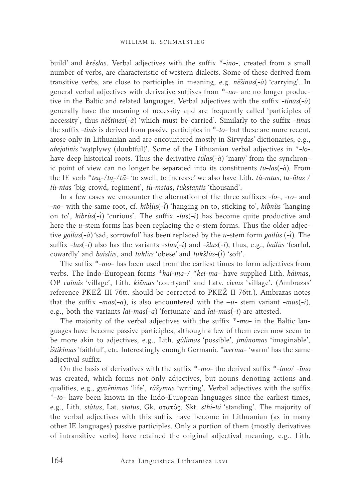build' and *krẽslas.* Verbal adjectives with the suffix \*-*ino-*, created from a small number of verbs, are characteristic of western dialects. Some of these derived from transitive verbs, are close to participles in meaning, e.g. *nẽšinas*(*-à*) 'carrying'. In general verbal adjectives with derivative suffixes from \*-*no-* are no longer productive in the Baltic and related languages. Verbal adjectives with the suffix *-tinas*(*-à*) generally have the meaning of necessity and are frequently called 'participles of necessity', thus *nèštinas*(*-à*) 'which must be carried'. Similarly to the suffix -*tinas*  the suffix -*tinis* is derived from passive participles in \*-*to-* but these are more recent, arose only in Lithuanian and are encountered mostly in Sirvydas' dictionaries, e.g., *abejotinis* 'wątplywy (doubtful)'. Some of the Lithuanian verbal adjectives in \*-*lo*have deep historical roots. Thus the derivative *tū́ las*(*-à*) 'many' from the synchronic point of view can no longer be separated into its constituents *tū́* -*las*(*-à*)*.* From the IE verb \**teu̯*-*/tu̯*-/*tū-* 'to swell, to increase' we also have Lith. *tù-mtas*, *tu-ñtas* / *tù-ntas* 'big crowd, regiment', *tù-mstas*, *tū́ kstantis* 'thousand'.

In a few cases we encounter the alternation of the three suffixes -*lo-*, *-ro-* and *-no-* with the same root, cf. *kiblùs*(*-*) 'hanging on to, sticking to*'*, *kibnùs* 'hanging on to*'*, *kibrùs*(*-*) 'curious*'.* The suffix -*lus*(*-i*) has become quite productive and here the *u*-stem forms has been replacing the *o-*stem forms. Thus the older adjective *galas*(*-à*) *'*sad, sorrowful' has been replaced by the *u*-stem form *gailùs* (*-*)*.* The suffix -*lus*(*-i*) also has the variants -s*lus*(*-i*) and -*šlus*(*-i*), thus, e.g., *bailùs* 'fearful, cowardly' and *baislùs*, and *tuklùs* 'obese' and *tukšlùs-(i)* 'soft'.

The suffix \*-*mo-* has been used from the earliest times to form adjectives from verbs. The Indo-European forms \**kai-ma-/ \*kei-ma-* have supplied Lith. *káimas*, OP *caimis* 'village', Lith. *kiẽmas '*courtyard' and Latv. *cìems* 'village'. (Ambrazas' reference PKEŽ III 76tt. should be corrected to PKEŽ II 76tt.). Ambrazas notes that the suffix  $-mas(-a)$ , is also encountered with the  $-u$ - stem variant  $-mus(-i)$ , e.g., both the variants *lai*-*mas*(*-a*) 'fortunate' and *lai*-*mus*(*-i*) are attested.

The majority of the verbal adjectives with the suffix \*-*mo-* in the Baltic languages have become passive participles, although a few of them even now seem to be more akin to adjectives, e.g., Lith. *gãlimas* 'possible', *įmãnomas* 'imaginable', *štikimas* 'faithful', etc. Interestingly enough Germanic \**werma-* 'warm' has the same adjectival suffix.

On the basis of derivatives with the suffix \*-*mo-* the derived suffix \*-*imo/ -īmo* was created, which forms not only adjectives, but nouns denoting actions and qualities, e.g., *gyvẽnimas* 'life', *rãšymas* 'writing'. Verbal adjectives with the suffix \*-*to-* have been known in the Indo-European languages since the earliest times, e.g., Lith. *stãtas*, Lat. *status*, Gk. στατός, Skt. *sthi-tá* 'standing'. The majority of the verbal adjectives with this suffix have become in Lithuanian (as in many other IE languages) passive participles. Only a portion of them (mostly derivatives of intransitive verbs) have retained the original adjectival meaning, e.g., Lith.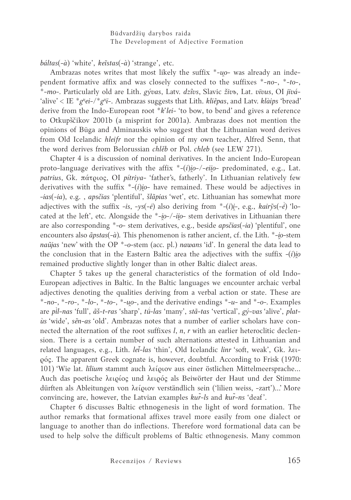*báltas*(*-à*) 'white', *keĩstas*(*-à*) 'strange', etc.

Ambrazas notes writes that most likely the suffix \*-*u̯o*- was already an independent formative affix and was closely connected to the suffixes \*-*no*-, \*-*to-*, \*-*mo-.* Particularly old are Lith. *gývas*, Latv. *dzîvs*, Slavic *živъ*, Lat. *vīvus*, OI *jīvá-*  'alive' < IE \*g<sup>*u*</sup>ei-/\*g<sup>*u*</sup>ī-. Ambrazas suggests that Lith. *kliẽpas*, and Latv. *klàips* 'bread' derive from the Indo-European root \**k'lei-* 'to bow, to bend' and gives a reference to Otkupščikov 2001b (a misprint for 2001a). Ambrazas does not mention the opinions of Būga and Alminauskis who suggest that the Lithuanian word derives from Old Icelandic *hleifr* nor the opinion of my own teacher, Alfred Senn, that the word derives from Belorussian *chlěb* or Pol. *chleb* (see LEW 271).

Chapter 4 is a discussion of nominal derivatives. In the ancient Indo-European proto-language derivatives with the affix  $*(-i)i\sigma$ -*eiio*- predominated, e.g., Lat. *patrius*, Gk. πάτριος, OI *pítriya-* 'father's, fatherly'. In Lithuanian relatively few derivatives with the suffix  $*(i)$ *io*- have remained. These would be adjectives in -*ias*(*-ia*), e.g. , *apsčias* 'plentiful', *šlãpias* 'wet', etc. Lithuanian has somewhat more adjectives with the suffix -*is*, *-ys*(*-ė*) also deriving from \*-(*i*)*i̯-*, e.g., *kairỹs*(*-ė̃* ) 'located at the left', etc. Alongside the \*-*i̯o-/-ii̯o*- stem derivatives in Lithuanian there are also corresponding \*-*o*- stem derivatives, e.g., beside *apsčias*(*-ia*) 'plentiful', one encounters also *ãpstas*(*-à*)*.* This phenomenon is rather ancient, cf. the Lith. \*-*i̯o-*stem *naũjas* 'new' with the OP \*-*o-*stem (acc. pl.) *nawans* 'id'. In general the data lead to the conclusion that in the Eastern Baltic area the adjectives with the suffix  $-i$ *i*)*io* remained productive slightly longer than in other Baltic dialect areas.

Chapter 5 takes up the general characteristics of the formation of old Indo-European adjectives in Baltic. In the Baltic languages we encounter archaic verbal adjectives denoting the qualities deriving from a verbal action or state. These are \*-*no-*, *\*-ro-*, \*-*lo-*, *\*-to-*, *\*-u̯o-*, and the derivative endings \*-*u-* and \**-o-.* Examples are *pìl-nas* 'full',  $\tilde{a}$ š-t-ras 'sharp', *tū-las* 'many', *stã-tas* 'vertical', *gý-vas* 'alive', *platùs* 'wide', *sẽn-as* 'old'. Ambrazas notes that a number of earlier scholars have connected the alternation of the root suffixes *l*, *n*, *r* with an earlier heteroclitic declension. There is a certain number of such alternations attested in Lithuanian and related languages, e.g., Lith. *le-las* 'thin', Old Icelandic *linr* 'soft, weak', Gk. λειρός. The apparent Greek cognate is, however, doubtful. According to Frisk (1970: 101) 'Wie lat. *līlium* stammt auch λείριον aus einer östlichen Mittelmeersprache... Auch das poetische λειρίος und λειρός als Beiwörter der Haut und der Stimme dürften als Ableitungen von λείριον verständlich sein ('lilien weiss, -zart')...' More convincing are, however, the Latvian examples *kur̃-ls* and *kur̃-ns* 'deaf'.

Chapter 6 discusses Baltic ethnogenesis in the light of word formation. The author remarks that formational affixes travel more easily from one dialect or language to another than do inflections. Therefore word formational data can be used to help solve the difficult problems of Baltic ethnogenesis. Many common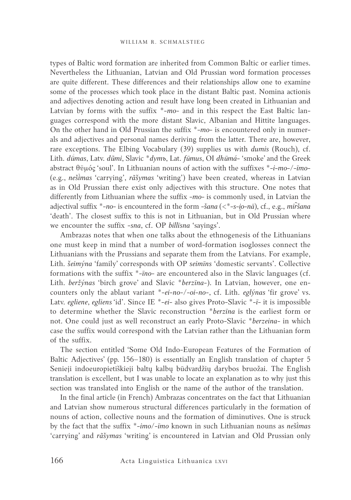types of Baltic word formation are inherited from Common Baltic or earlier times. Nevertheless the Lithuanian, Latvian and Old Prussian word formation processes are quite different. These differences and their relationships allow one to examine some of the processes which took place in the distant Baltic past. Nomina actionis and adjectives denoting action and result have long been created in Lithuanian and Latvian by forms with the suffix \*-*mo-* and in this respect the East Baltic languages correspond with the more distant Slavic, Albanian and Hittite languages. On the other hand in Old Prussian the suffix \*-*mo-* is encountered only in numerals and adjectives and personal names deriving from the latter. There are, however, rare exceptions. The Elbing Vocabulary (39) supplies us with *dumis* (Rouch), cf. Lith. *dūmas ́* , Latv. *dũmi*, Slavic \**dymъ*, Lat. *fūmus*, OI *dhūmá-* 'smoke' and the Greek abstract θῡμός 'soul'. In Lithuanian nouns of action with the suffixes \*-*i-mo-/-īmo-*  (e.g., *nešmas* 'carrying', *rãšymas* 'writing') have been created, whereas in Latvian as in Old Prussian there exist only adjectives with this structure. One notes that differently from Lithuanian where the suffix -*mo-* is commonly used, in Latvian the adjectival suffix \*-*no-* is encountered in the form -*šana* (<\*-*s-i̯o-nā*), cf., e.g., *mir̃šana*  'death'. The closest suffix to this is not in Lithuanian, but in Old Prussian where we encounter the suffix -*sna*, cf. OP *billīsna* 'sayings'.

Ambrazas notes that when one talks about the ethnogenesis of the Lithuanians one must keep in mind that a number of word-formation isoglosses connect the Lithuanians with the Prussians and separate them from the Latvians. For example, Lith. *šeimýna* 'family' corresponds with OP *seimīns* 'domestic servants'. Collective formations with the suffix \*-*īno*- are encountered also in the Slavic languages (cf. Lith. *beržýnas* 'birch grove' and Slavic \**berzīna-*). In Latvian, however, one encounters only the ablaut variant \*-*ei-no-/-oi-no-*, cf. Lith. *eglýnas* 'fir grove' vs. Latv. *egliene*, *egliens '*id'. Since IE \*-*ei*- also gives Proto-Slavic \*-*ī-* it is impossible to determine whether the Slavic reconstruction \**berzīna* is the earliest form or not. One could just as well reconstruct an early Proto-Slavic \**berzeina-* in which case the suffix would correspond with the Latvian rather than the Lithuanian form of the suffix.

The section entitled 'Some Old Indo-European Features of the Formation of Baltic Adjectives' (pp. 156–180) is essentially an English translation of chapter 5 Senieji indoeuropietiškieji baltų kalbų būdvardžių darybos bruožai. The English translation is excellent, but I was unable to locate an explanation as to why just this section was translated into English or the name of the author of the translation.

In the final article (in French) Ambrazas concentrates on the fact that Lithuanian and Latvian show numerous structural differences particularly in the formation of nouns of action, collective nouns and the formation of diminutives. One is struck by the fact that the suffix \*-*imo/-īmo* known in such Lithuanian nouns as *nešmas*  'carrying' and *rãšymas* 'writing' is encountered in Latvian and Old Prussian only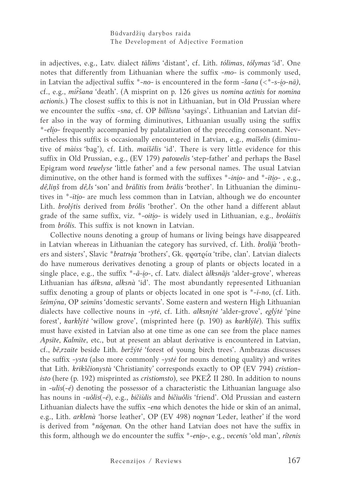### Būdvardžių darybos raida The Development of Adjective Formation

in adjectives, e.g., Latv. dialect *tālīms* 'distant', cf. Lith. *tólimas*, *tólymas '*id'. One notes that differently from Lithuanian where the suffix -*mo-* is commonly used, in Latvian the adjectival suffix  $*$ -no- is encountered in the form  $-šana$  ( $\lt$  $*-s-io-n\bar{a}$ ), cf., e.g., *mir̃šana* 'death'. (A misprint on p. 126 gives us *nomina actinis* for *nomina actionis.*) The closest suffix to this is not in Lithuanian, but in Old Prussian where we encounter the suffix -*sna*, cf. OP *billīsna* 'sayings'. Lithuanian and Latvian differ also in the way of forming diminutives, Lithuanian usually using the suffix *\*-eli̯o*- frequently accompanied by palatalization of the preceding consonant. Nevertheless this suffix is occasionally encountered in Latvian, e.g., *maĩšelis* (diminutive of *màiss '*bag'), cf. Lith. *maišẽlis* 'id'. There is very little evidence for this suffix in Old Prussian, e.g., (EV 179) *patowelis* 'step-father' and perhaps the Basel Epigram word *tewelyse* 'little father' and a few personal names. The usual Latvian diminutive, on the other hand is formed with the suffixes \*-*inio*- and \*-*ītio*-, e.g., *dê,liņš* from *dê,ls '*son' and *brālītis* from *brālis '*brother'. In Lithuanian the diminutives in \*-*īti̯o-* are much less common than in Latvian, although we do encounter Lith. *brolýtis* derived from *brólis* 'brother'. On the other hand a different ablaut grade of the same suffix, viz. \*-*oiti̯o-* is widely used in Lithuanian, e.g., *broláitis*  from *brólis.* This suffix is not known in Latvian.

Collective nouns denoting a group of humans or living beings have disappeared in Latvian whereas in Lithuanian the category has survived, cf. Lith. *brolijà* 'brothers and sisters', Slavic \**bratrьja* 'brothers*'*, Gk. φρατρία 'tribe, clan'. Latvian dialects do have numerous derivatives denoting a group of plants or objects located in a single place, e.g., the suffix \*-*ã-i̯o-*, cf. Latv. dialect *àlksnãjs* 'alder-grove', whereas Lithuanian has *álksna*, *alksnà* 'id'. The most abundantly represented Lithuanian suffix denoting a group of plants or objects located in one spot is \*-*ī-no*, (cf. Lith. *šeimýna*, OP *seimīns* 'domestic servants'. Some eastern and western High Lithuanian dialects have collective nouns in -*ytė*, cf. Lith. *alksnýtė* 'alder-grove', *eglýtė* 'pine forest', *karklýtė* 'willow grove', (misprinted here (p. 190) as *karklýlė*). This suffix must have existed in Latvian also at one time as one can see from the place names *Apsīte*, *Kalmīte*, etc., but at present an ablaut derivative is encountered in Latvian, cf., *bẽ*,*rzaite* beside Lith. *beržýtė* 'forest of young birch trees'. Ambrazas discusses the suffix -*ysta* (also more commonly -*ystė* for nouns denoting quality) and writes that Lith. *krikščionystà* 'Christianity' corresponds exactly to OP (EV 794) *cristionisto* (here (p. 192) misprinted as *cristiomsto*), see PKEŽ II 280. In addition to nouns in -*ulis*(*-ė*) denoting the possessor of a characteristic the Lithuanian language also has nouns in -*uõlis*(*-ė*), e.g., *bičiùlis* and *bičiuõlis* 'friend'. Old Prussian and eastern Lithuanian dialects have the suffix -*ena* which denotes the hide or skin of an animal, e.g., Lith. *arklenà '*horse leather', OP (EV 498) *nognan '*Leder, leather' if the word is derived from \**nōgenan.* On the other hand Latvian does not have the suffix in this form, although we do encounter the suffix \*-*eni̯o-*, e.g., *vecenis* 'old man', *rîtenis*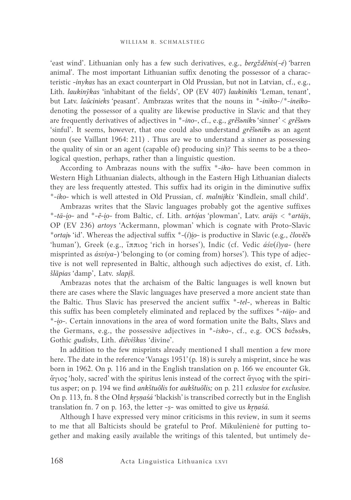'east wind'. Lithuanian only has a few such derivatives, e.g., *bergždẽnis*(*-ė*) *'*barren animal*'.* The most important Lithuanian suffix denoting the possessor of a characteristic -*inykas* has an exact counterpart in Old Prussian, but not in Latvian, cf., e.g., Lith. *laukinỹkas* 'inhabitant of the fields', OP (EV 407) *laukinikis* 'Leman, tenant', but Latv. *laũcinieks '*peasant'. Ambrazas writes that the nouns in \*-*inīko-*/\*-*ineiko*denoting the possessor of a quality are likewise productive in Slavic and that they are frequently derivatives of adjectives in \*-*ino-*, cf., e.g., *grěšьnikъ* 'sinner' < *grěšьnъ* 'sinful'. It seems, however, that one could also understand *grěšьnikъ* as an agent noun (see Vaillant 1964: 211) . Thus are we to understand a sinner as possessing the quality of sin or an agent (capable of) producing sin)? This seems to be a theological question, perhaps, rather than a linguistic question.

According to Ambrazas nouns with the suffix \*-*iko-* have been common in Western High Lithuanian dialects, although in the Eastern High Lithuanian dialects they are less frequently attested. This suffix had its origin in the diminutive suffix \*-*iko-* which is well attested in Old Prussian, cf. *malnijkix* 'Kindlein, small child'.

Ambrazas writes that the Slavic languages probably got the agentive suffixes \*-*tā-i̯o-* and \*-*ẽ-i̯o-* from Baltic, cf. Lith. *artójas '*plowman', Latv. *arājs < \*artājs*, OP (EV 236) *artoys* 'Ackermann, plowman' which is cognate with Proto-Slavic \**ortajь* 'id'. Whereas the adjectival suffix \*-(*i*)*i̯o-* is productive in Slavic (e.g., *člověčь* 'human'), Greek (e.g., ἵππιος 'rich in horses'), Indic (cf. Vedic *áśv*(*i*)*ya-* (here misprinted as *ásviya-*) 'belonging to (or coming from) horses'). This type of adjective is not well represented in Baltic, although such adjectives do exist, cf. Lith. *šlãpias '*damp', Latv. *slapjš.*

Ambrazas notes that the archaism of the Baltic languages is well known but there are cases where the Slavic languages have preserved a more ancient state than the Baltic. Thus Slavic has preserved the ancient suffix \*-*tel-*, whereas in Baltic this suffix has been completely eliminated and replaced by the suffixes \*-*tāi̯o-* and \*-*i̯o-.* Certain innovations in the area of word formation unite the Balts, Slavs and the Germans, e.g., the possessive adjectives in \*-*isko-*, cf., e.g. OCS *božьskъ*, Gothic *gudisks*, Lith. *diẽviškas* 'divine'.

In addition to the few misprints already mentioned I shall mention a few more here. The date in the reference 'Vanags 1951' (p. 18) is surely a misprint, since he was born in 1962. On p. 116 and in the English translation on p. 166 we encounter Gk. ἄγιος 'holy, sacred' with the spiritus lenis instead of the correct ἅγιος with the spiritus asper; on p. 194 we find *ankštuõlis* for *aukštuõlis;* on p. 211 *exlusive* for *exclusive.*  On p. 113, fn. 8 the OInd *kr̥ṣṇaśá* 'blackish' is transcribed correctly but in the English translation fn. 7 on p. 163, the letter -*ṣ*- was omitted to give us *kr̥ṇaśá.*

Although I have expressed very minor criticisms in this review, in sum it seems to me that all Balticists should be grateful to Prof. Mikulėnienė for putting together and making easily available the writings of this talented, but untimely de